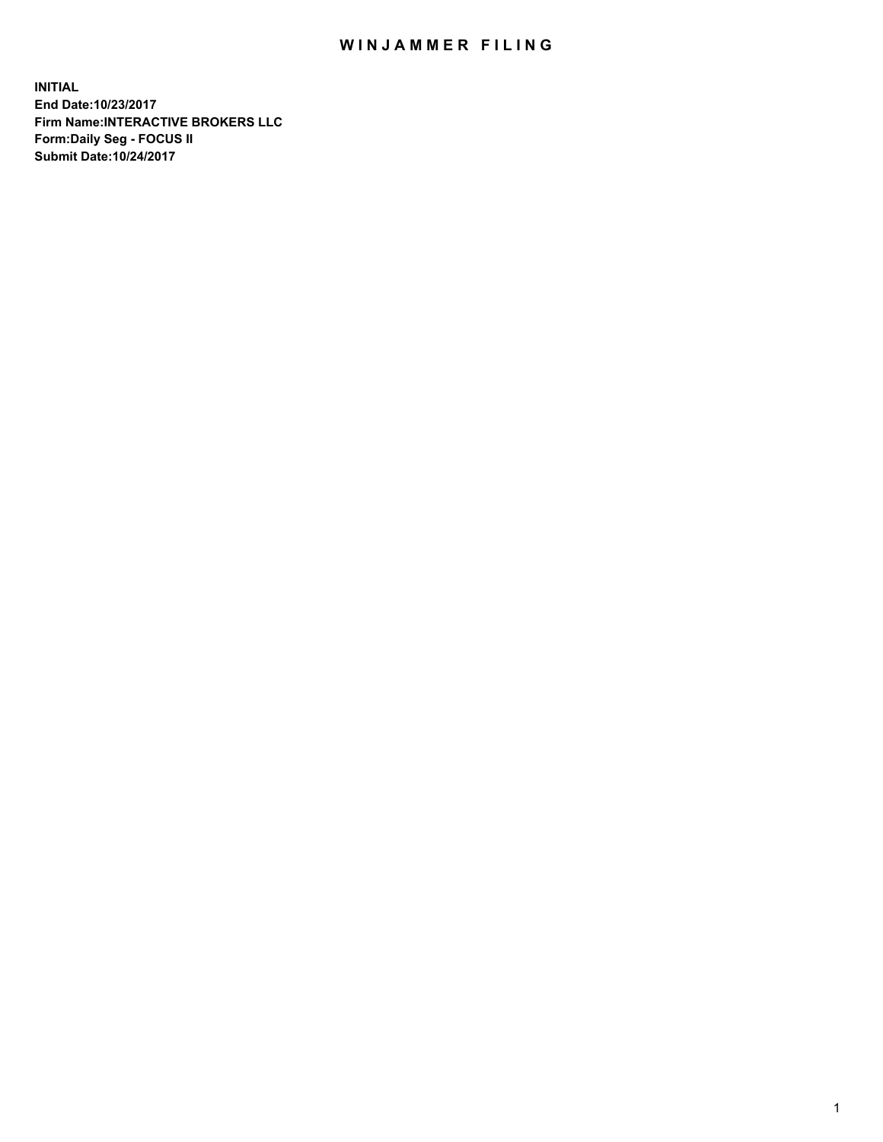## WIN JAMMER FILING

**INITIAL End Date:10/23/2017 Firm Name:INTERACTIVE BROKERS LLC Form:Daily Seg - FOCUS II Submit Date:10/24/2017**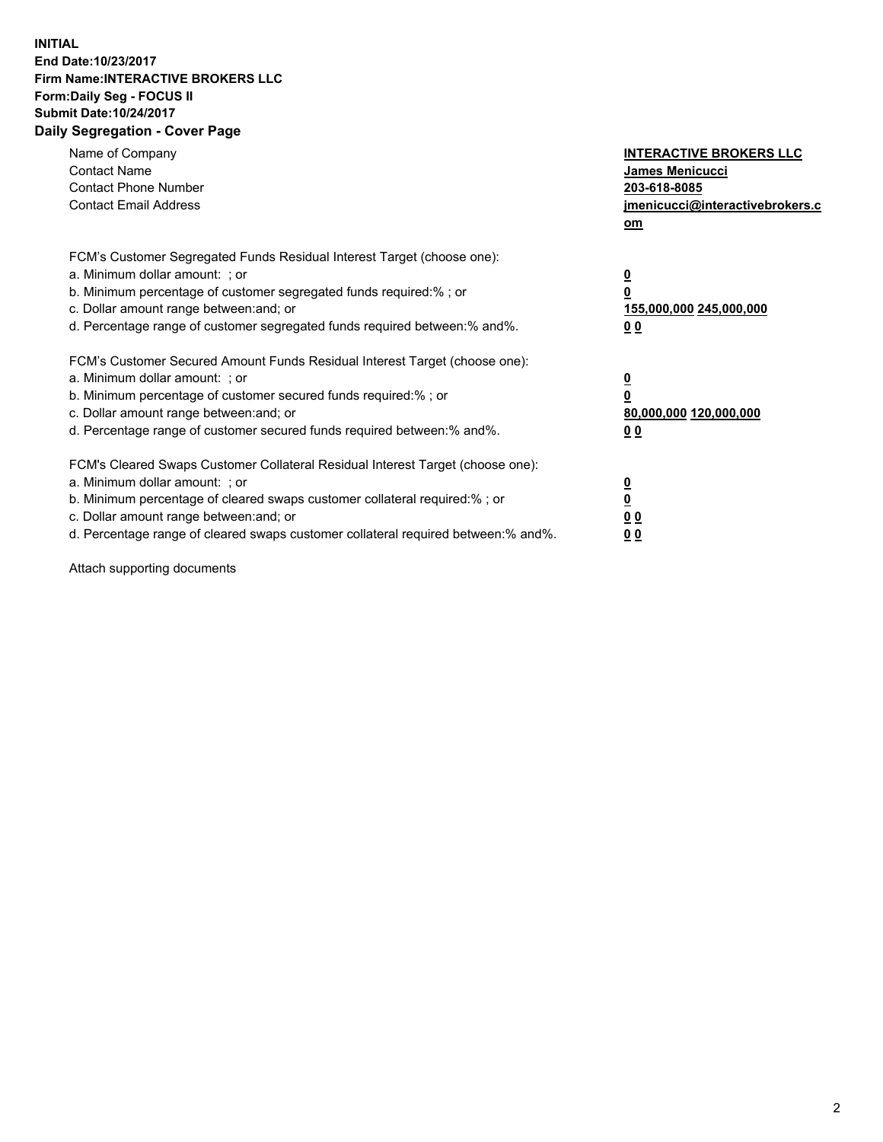## **INITIAL End Date:10/23/2017 Firm Name:INTERACTIVE BROKERS LLC Form:Daily Seg - FOCUS II Submit Date:10/24/2017 Daily Segregation - Cover Page**

| Name of Company<br><b>Contact Name</b><br><b>Contact Phone Number</b><br><b>Contact Email Address</b>                                                                                                                                                                                                                          | <b>INTERACTIVE BROKERS LLC</b><br><b>James Menicucci</b><br>203-618-8085<br>jmenicucci@interactivebrokers.c<br>om |
|--------------------------------------------------------------------------------------------------------------------------------------------------------------------------------------------------------------------------------------------------------------------------------------------------------------------------------|-------------------------------------------------------------------------------------------------------------------|
| FCM's Customer Segregated Funds Residual Interest Target (choose one):<br>a. Minimum dollar amount: ; or<br>b. Minimum percentage of customer segregated funds required:%; or<br>c. Dollar amount range between: and; or<br>d. Percentage range of customer segregated funds required between:% and%.                          | $\overline{\mathbf{0}}$<br>0<br>155,000,000 245,000,000<br>0 <sub>0</sub>                                         |
| FCM's Customer Secured Amount Funds Residual Interest Target (choose one):<br>a. Minimum dollar amount: ; or<br>b. Minimum percentage of customer secured funds required:%; or<br>c. Dollar amount range between: and; or<br>d. Percentage range of customer secured funds required between: % and %.                          | $\overline{\mathbf{0}}$<br>0<br>80,000,000 120,000,000<br>0 <sub>0</sub>                                          |
| FCM's Cleared Swaps Customer Collateral Residual Interest Target (choose one):<br>a. Minimum dollar amount: ; or<br>b. Minimum percentage of cleared swaps customer collateral required:% ; or<br>c. Dollar amount range between: and; or<br>d. Percentage range of cleared swaps customer collateral required between:% and%. | $\overline{\mathbf{0}}$<br>$\overline{\mathbf{0}}$<br>0 <sub>0</sub><br><u>00</u>                                 |

Attach supporting documents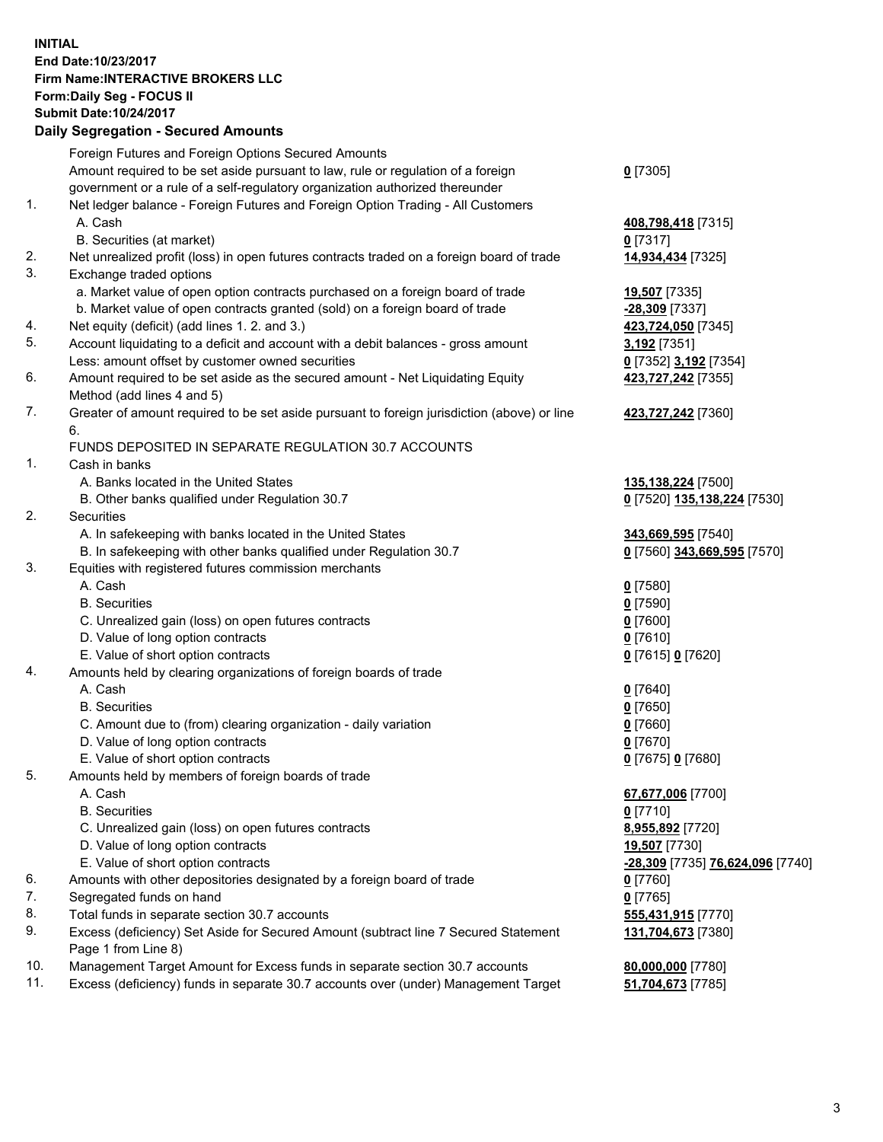## **INITIAL End Date:10/23/2017 Firm Name:INTERACTIVE BROKERS LLC Form:Daily Seg - FOCUS II Submit Date:10/24/2017**

|     | <b>Daily Segregation - Secured Amounts</b>                                                  |                                  |
|-----|---------------------------------------------------------------------------------------------|----------------------------------|
|     | Foreign Futures and Foreign Options Secured Amounts                                         |                                  |
|     | Amount required to be set aside pursuant to law, rule or regulation of a foreign            | $0$ [7305]                       |
|     | government or a rule of a self-regulatory organization authorized thereunder                |                                  |
| 1.  | Net ledger balance - Foreign Futures and Foreign Option Trading - All Customers             |                                  |
|     | A. Cash                                                                                     | 408,798,418 [7315]               |
|     | B. Securities (at market)                                                                   | $0$ [7317]                       |
| 2.  | Net unrealized profit (loss) in open futures contracts traded on a foreign board of trade   | 14,934,434 [7325]                |
| 3.  | Exchange traded options                                                                     |                                  |
|     | a. Market value of open option contracts purchased on a foreign board of trade              | 19,507 [7335]                    |
|     | b. Market value of open contracts granted (sold) on a foreign board of trade                | <u>-28,309</u> [7337]            |
| 4.  | Net equity (deficit) (add lines 1.2. and 3.)                                                | 423,724,050 [7345]               |
| 5.  | Account liquidating to a deficit and account with a debit balances - gross amount           | 3,192 <sub>[7351]</sub>          |
|     | Less: amount offset by customer owned securities                                            | 0 [7352] 3,192 [7354]            |
| 6.  | Amount required to be set aside as the secured amount - Net Liquidating Equity              | 423,727,242 [7355]               |
|     | Method (add lines 4 and 5)                                                                  |                                  |
| 7.  | Greater of amount required to be set aside pursuant to foreign jurisdiction (above) or line | 423,727,242 [7360]               |
|     | 6.                                                                                          |                                  |
|     | FUNDS DEPOSITED IN SEPARATE REGULATION 30.7 ACCOUNTS                                        |                                  |
| 1.  | Cash in banks                                                                               |                                  |
|     | A. Banks located in the United States                                                       | 135,138,224 [7500]               |
|     | B. Other banks qualified under Regulation 30.7                                              | 0 [7520] 135,138,224 [7530]      |
| 2.  | Securities                                                                                  |                                  |
|     | A. In safekeeping with banks located in the United States                                   | 343,669,595 [7540]               |
|     | B. In safekeeping with other banks qualified under Regulation 30.7                          | 0 [7560] 343,669,595 [7570]      |
| 3.  | Equities with registered futures commission merchants                                       |                                  |
|     | A. Cash                                                                                     | $0$ [7580]                       |
|     | <b>B.</b> Securities                                                                        | <u>0</u> [7590]                  |
|     | C. Unrealized gain (loss) on open futures contracts                                         | 0 [7600]                         |
|     | D. Value of long option contracts                                                           | $0$ [7610]                       |
|     | E. Value of short option contracts                                                          | 0 [7615] 0 [7620]                |
| 4.  | Amounts held by clearing organizations of foreign boards of trade                           |                                  |
|     | A. Cash                                                                                     | $0$ [7640]                       |
|     | <b>B.</b> Securities                                                                        | $0$ [7650]                       |
|     | C. Amount due to (from) clearing organization - daily variation                             | 0 [7660]                         |
|     | D. Value of long option contracts                                                           | $0$ [7670]                       |
|     | E. Value of short option contracts                                                          | 0 [7675] 0 [7680]                |
| 5.  | Amounts held by members of foreign boards of trade                                          |                                  |
|     | A. Cash                                                                                     | 67,677,006 [7700]                |
|     | <b>B.</b> Securities                                                                        | $0$ [7710]                       |
|     | C. Unrealized gain (loss) on open futures contracts                                         | 8,955,892 [7720]                 |
|     | D. Value of long option contracts                                                           | 19,507 [7730]                    |
|     | E. Value of short option contracts                                                          | -28,309 [7735] 76,624,096 [7740] |
| 6.  | Amounts with other depositories designated by a foreign board of trade                      | 0 [7760]                         |
| 7.  | Segregated funds on hand                                                                    | $0$ [7765]                       |
| 8.  | Total funds in separate section 30.7 accounts                                               | 555,431,915 [7770]               |
| 9.  | Excess (deficiency) Set Aside for Secured Amount (subtract line 7 Secured Statement         | 131,704,673 [7380]               |
|     | Page 1 from Line 8)                                                                         |                                  |
| 10. | Management Target Amount for Excess funds in separate section 30.7 accounts                 | 80,000,000 [7780]                |
| 11. | Excess (deficiency) funds in separate 30.7 accounts over (under) Management Target          | 51,704,673 [7785]                |
|     |                                                                                             |                                  |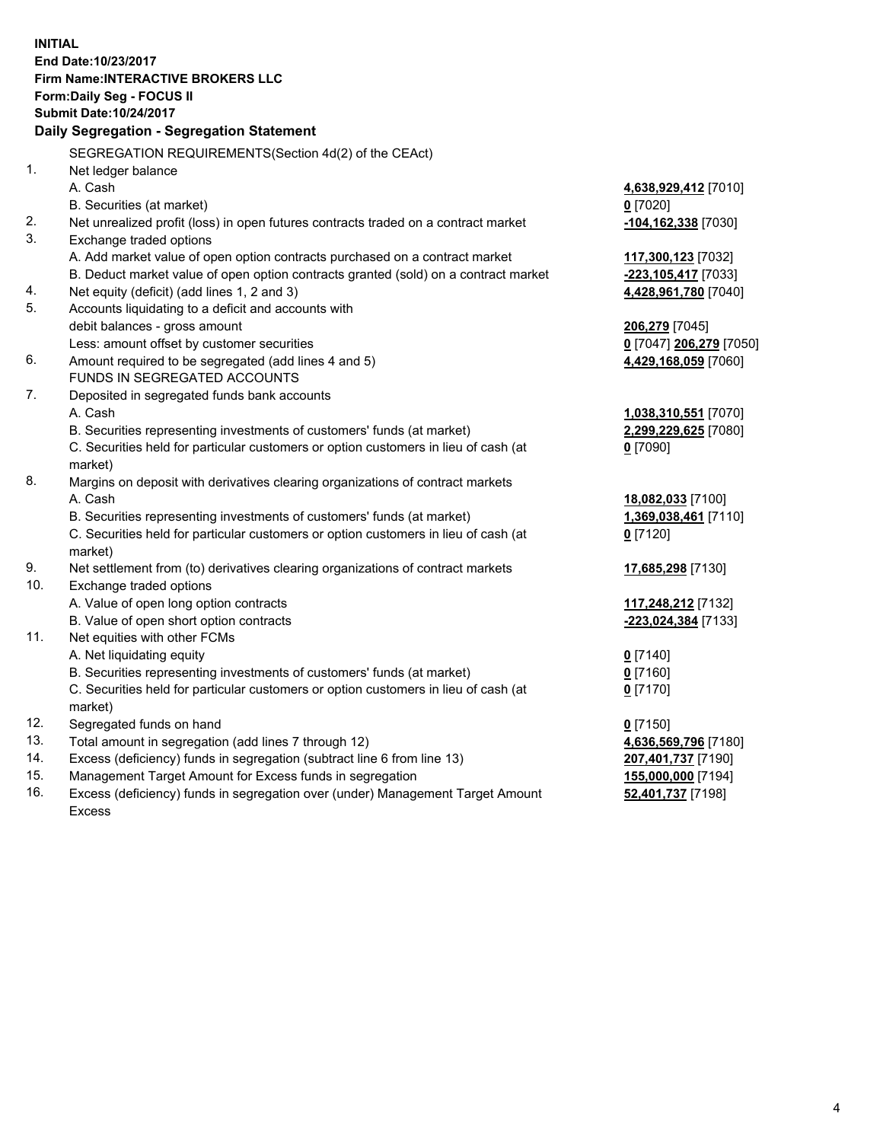**INITIAL End Date:10/23/2017 Firm Name:INTERACTIVE BROKERS LLC Form:Daily Seg - FOCUS II Submit Date:10/24/2017 Daily Segregation - Segregation Statement** SEGREGATION REQUIREMENTS(Section 4d(2) of the CEAct) 1. Net ledger balance A. Cash **4,638,929,412** [7010] B. Securities (at market) **0** [7020] 2. Net unrealized profit (loss) in open futures contracts traded on a contract market **-104,162,338** [7030] 3. Exchange traded options A. Add market value of open option contracts purchased on a contract market **117,300,123** [7032] B. Deduct market value of open option contracts granted (sold) on a contract market **-223,105,417** [7033] 4. Net equity (deficit) (add lines 1, 2 and 3) **4,428,961,780** [7040] 5. Accounts liquidating to a deficit and accounts with debit balances - gross amount **206,279** [7045] Less: amount offset by customer securities **0** [7047] **206,279** [7050] 6. Amount required to be segregated (add lines 4 and 5) **4,429,168,059** [7060] FUNDS IN SEGREGATED ACCOUNTS 7. Deposited in segregated funds bank accounts A. Cash **1,038,310,551** [7070] B. Securities representing investments of customers' funds (at market) **2,299,229,625** [7080] C. Securities held for particular customers or option customers in lieu of cash (at market) **0** [7090] 8. Margins on deposit with derivatives clearing organizations of contract markets A. Cash **18,082,033** [7100] B. Securities representing investments of customers' funds (at market) **1,369,038,461** [7110] C. Securities held for particular customers or option customers in lieu of cash (at market) **0** [7120] 9. Net settlement from (to) derivatives clearing organizations of contract markets **17,685,298** [7130] 10. Exchange traded options A. Value of open long option contracts **117,248,212** [7132] B. Value of open short option contracts **-223,024,384** [7133] 11. Net equities with other FCMs A. Net liquidating equity **0** [7140] B. Securities representing investments of customers' funds (at market) **0** [7160] C. Securities held for particular customers or option customers in lieu of cash (at market) **0** [7170] 12. Segregated funds on hand **0** [7150] 13. Total amount in segregation (add lines 7 through 12) **4,636,569,796** [7180] 14. Excess (deficiency) funds in segregation (subtract line 6 from line 13) **207,401,737** [7190] 15. Management Target Amount for Excess funds in segregation **155,000,000** [7194] **52,401,737** [7198]

16. Excess (deficiency) funds in segregation over (under) Management Target Amount Excess